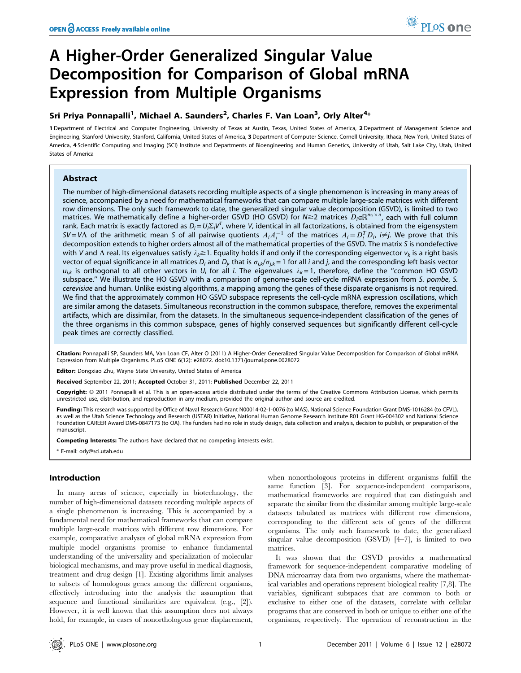# A Higher-Order Generalized Singular Value Decomposition for Comparison of Global mRNA Expression from Multiple Organisms

## Sri Priya Ponnapalli<sup>1</sup>, Michael A. Saunders<sup>2</sup>, Charles F. Van Loan<sup>3</sup>, Orly Alter<sup>4</sup>\*

1 Department of Electrical and Computer Engineering, University of Texas at Austin, Texas, United States of America, 2 Department of Management Science and Engineering, Stanford University, Stanford, California, United States of America, 3 Department of Computer Science, Cornell University, Ithaca, New York, United States of America, 4 Scientific Computing and Imaging (SCI) Institute and Departments of Bioengineering and Human Genetics, University of Utah, Salt Lake City, Utah, United States of America

## Abstract

The number of high-dimensional datasets recording multiple aspects of a single phenomenon is increasing in many areas of science, accompanied by a need for mathematical frameworks that can compare multiple large-scale matrices with different row dimensions. The only such framework to date, the generalized singular value decomposition (GSVD), is limited to two matrices. We mathematically define a higher-order GSVD (HO GSVD) for  $N \ge 2$  matrices  $D_i \in \mathbb{R}^{m_i \times n}$ , each with full column rank. Each matrix is exactly factored as  $D_i=U_i\Sigma_iV^T$ , where V, identical in all factorizations, is obtained from the eigensystem SV = V $\Lambda$  of the arithmetic mean S of all pairwise quotients  $A_iA_j^{-1}$  of the matrices  $A_i=D_i^TD_i$ ,  $i\neq j$ . We prove that this decomposition extends to higher orders almost all of the mathematical properties of the GSVD. The matrix S is nondefective with V and  $\Lambda$  real. Its eigenvalues satisfy  $\lambda_k \geq 1$ . Equality holds if and only if the corresponding eigenvector  $v_k$  is a right basis vector of equal significance in all matrices  $D_i$  and  $D_j$ , that is  $\sigma_{i,k}/\sigma_{j,k}$  = 1 for all  $i$  and  $j$ , and the corresponding left basis vector  $u_{ik}$  is orthogonal to all other vectors in  $U_i$  for all i. The eigenvalues  $\lambda_k = 1$ , therefore, define the "common HO GSVD subspace." We illustrate the HO GSVD with a comparison of genome-scale cell-cycle mRNA expression from S. pombe, S. cerevisiae and human. Unlike existing algorithms, a mapping among the genes of these disparate organisms is not required. We find that the approximately common HO GSVD subspace represents the cell-cycle mRNA expression oscillations, which are similar among the datasets. Simultaneous reconstruction in the common subspace, therefore, removes the experimental artifacts, which are dissimilar, from the datasets. In the simultaneous sequence-independent classification of the genes of the three organisms in this common subspace, genes of highly conserved sequences but significantly different cell-cycle peak times are correctly classified.

Citation: Ponnapalli SP, Saunders MA, Van Loan CF, Alter O (2011) A Higher-Order Generalized Singular Value Decomposition for Comparison of Global mRNA Expression from Multiple Organisms. PLoS ONE 6(12): e28072. doi:10.1371/journal.pone.0028072

Editor: Dongxiao Zhu, Wayne State University, United States of America

Received September 22, 2011; Accepted October 31, 2011; Published December 22, 2011

Copyright: © 2011 Ponnapalli et al. This is an open-access article distributed under the terms of the Creative Commons Attribution License, which permits unrestricted use, distribution, and reproduction in any medium, provided the original author and source are credited.

Funding: This research was supported by Office of Naval Research Grant N00014-02-1-0076 (to MAS), National Science Foundation Grant DMS-1016284 (to CFVL), as well as the Utah Science Technology and Research (USTAR) Initiative, National Human Genome Research Institute R01 Grant HG-004302 and National Science Foundation CAREER Award DMS-0847173 (to OA). The funders had no role in study design, data collection and analysis, decision to publish, or preparation of the manuscript.

Competing Interests: The authors have declared that no competing interests exist.

\* E-mail: orly@sci.utah.edu

## Introduction

In many areas of science, especially in biotechnology, the number of high-dimensional datasets recording multiple aspects of a single phenomenon is increasing. This is accompanied by a fundamental need for mathematical frameworks that can compare multiple large-scale matrices with different row dimensions. For example, comparative analyses of global mRNA expression from multiple model organisms promise to enhance fundamental understanding of the universality and specialization of molecular biological mechanisms, and may prove useful in medical diagnosis, treatment and drug design [1]. Existing algorithms limit analyses to subsets of homologous genes among the different organisms, effectively introducing into the analysis the assumption that sequence and functional similarities are equivalent (e.g., [2]). However, it is well known that this assumption does not always hold, for example, in cases of nonorthologous gene displacement,

when nonorthologous proteins in different organisms fulfill the same function [3]. For sequence-independent comparisons, mathematical frameworks are required that can distinguish and separate the similar from the dissimilar among multiple large-scale datasets tabulated as matrices with different row dimensions, corresponding to the different sets of genes of the different organisms. The only such framework to date, the generalized singular value decomposition (GSVD) [4–7], is limited to two matrices.

It was shown that the GSVD provides a mathematical framework for sequence-independent comparative modeling of DNA microarray data from two organisms, where the mathematical variables and operations represent biological reality [7,8]. The variables, significant subspaces that are common to both or exclusive to either one of the datasets, correlate with cellular programs that are conserved in both or unique to either one of the organisms, respectively. The operation of reconstruction in the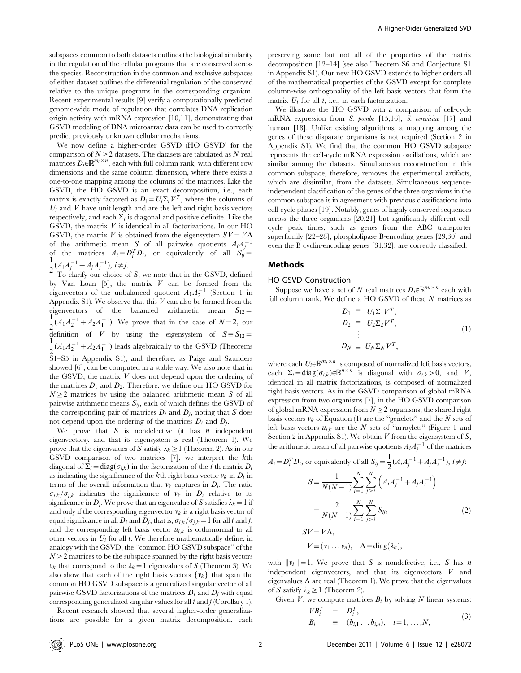subspaces common to both datasets outlines the biological similarity in the regulation of the cellular programs that are conserved across the species. Reconstruction in the common and exclusive subspaces of either dataset outlines the differential regulation of the conserved relative to the unique programs in the corresponding organism. Recent experimental results [9] verify a computationally predicted genome-wide mode of regulation that correlates DNA replication origin activity with mRNA expression [10,11], demonstrating that GSVD modeling of DNA microarray data can be used to correctly predict previously unknown cellular mechanisms.

We now define a higher-order GSVD (HO GSVD) for the comparison of  $N\geq 2$  datasets. The datasets are tabulated as N real matrices  $D_i \in \mathbb{R}^{m_i \times n}$ , each with full column rank, with different row dimensions and the same column dimension, where there exists a one-to-one mapping among the columns of the matrices. Like the GSVD, the HO GSVD is an exact decomposition, i.e., each matrix is exactly factored as  $D_i=U_i\Sigma_iV^T$ , where the columns of  $U_i$  and V have unit length and are the left and right basis vectors respectively, and each  $\Sigma_i$  is diagonal and positive definite. Like the GSVD, the matrix  $V$  is identical in all factorizations. In our HO GSVD, the matrix V is obtained from the eigensystem  $SV = V\Lambda$ of the arithmetic mean S of all pairwise quotients  $A_i A_i^{-1}$ of the matrices  $A_i = D_i^T D_i$ , or equivalently of all  $S_{ij} = \begin{bmatrix} 1 & 0 & 1 \\ 0 & 1 & 1 \\ 0 & 0 & 1 \end{bmatrix}$  $\frac{1}{2} (A_i A_j^{-1} + A_j A_i^{-1}), i \neq j.$ 

To clarify our choice of S, we note that in the GSVD, defined by Van Loan  $[5]$ , the matrix  $V$  can be formed from the eigenvectors of the unbalanced quotient  $A_1A_2^{-1}$  (Section 1 in Appendix S1). We observe that this  $V$  can also be formed from the eigenvectors of the balanced arithmetic mean  $S_{12}$  =  $\frac{1}{2}(A_1A_2^{-1}+A_2A_1^{-1})$ . We prove that in the case of  $N=2$ , our definition of V by using the eigensystem of  $S \equiv S_{12}$  $\frac{1}{2}(A_1A_2^{-1}+A_2A_1^{-1})$  leads algebraically to the GSVD (Theorems S1–S5 in Appendix S1), and therefore, as Paige and Saunders showed [6], can be computed in a stable way. We also note that in the GSVD, the matrix  $V$  does not depend upon the ordering of the matrices  $D_1$  and  $D_2$ . Therefore, we define our HO GSVD for  $N \geq 2$  matrices by using the balanced arithmetic mean S of all pairwise arithmetic means  $S_{ij}$ , each of which defines the GSVD of the corresponding pair of matrices  $D_i$  and  $D_j$ , noting that S does not depend upon the ordering of the matrices  $D_i$  and  $D_j$ .

We prove that  $S$  is nondefective (it has *n* independent eigenvectors), and that its eigensystem is real (Theorem 1). We prove that the eigenvalues of S satisfy  $\lambda_k \geq 1$  (Theorem 2). As in our GSVD comparison of two matrices [7], we interpret the kth diagonal of  $\Sigma_i = diag(\sigma_{ik})$  in the factorization of the i th matrix  $D_i$ as indicating the significance of the kth right basis vector  $v_k$  in  $D_i$  in terms of the overall information that  $v_k$  captures in  $D_i$ . The ratio  $\sigma_{i,k}/\sigma_{i,k}$  indicates the significance of  $v_k$  in  $D_i$  relative to its significance in  $D_i$ . We prove that an eigenvalue of S satisfies  $\lambda_k=1$  if and only if the corresponding eigenvector  $v_k$  is a right basis vector of equal significance in all  $D_i$  and  $D_j$ , that is,  $\sigma_{i,k}/\sigma_{j,k}=1$  for all i and j, and the corresponding left basis vector  $u_{i,k}$  is orthonormal to all other vectors in  $U_i$  for all i. We therefore mathematically define, in analogy with the GSVD, the ''common HO GSVD subspace'' of the  $N \geq 2$  matrices to be the subspace spanned by the right basis vectors  $v_k$  that correspond to the  $\lambda_k=1$  eigenvalues of S (Theorem 3). We also show that each of the right basis vectors  $\{v_k\}$  that span the common HO GSVD subspace is a generalized singular vector of all pairwise GSVD factorizations of the matrices  $D_i$  and  $D_j$  with equal corresponding generalized singular values for all  $i$  and  $j$  (Corollary 1).

Recent research showed that several higher-order generalizations are possible for a given matrix decomposition, each preserving some but not all of the properties of the matrix decomposition [12–14] (see also Theorem S6 and Conjecture S1 in Appendix S1). Our new HO GSVD extends to higher orders all of the mathematical properties of the GSVD except for complete column-wise orthogonality of the left basis vectors that form the matrix  $U_i$  for all  $i$ , i.e., in each factorization.

We illustrate the HO GSVD with a comparison of cell-cycle mRNA expression from S. pombe [15,16], S. cerevisiae [17] and human [18]. Unlike existing algorithms, a mapping among the genes of these disparate organisms is not required (Section 2 in Appendix S1). We find that the common HO GSVD subspace represents the cell-cycle mRNA expression oscillations, which are similar among the datasets. Simultaneous reconstruction in this common subspace, therefore, removes the experimental artifacts, which are dissimilar, from the datasets. Simultaneous sequenceindependent classification of the genes of the three organisms in the common subspace is in agreement with previous classifications into cell-cycle phases [19]. Notably, genes of highly conserved sequences across the three organisms [20,21] but significantly different cellcycle peak times, such as genes from the ABC transporter superfamily [22–28], phospholipase B-encoding genes [29,30] and even the B cyclin-encoding genes [31,32], are correctly classified.

### Methods

### HO GSVD Construction

Suppose we have a set of N real matrices  $D_i \in \mathbb{R}^{m_i \times n}$  each with full column rank. We define a  $HO$  GSVD of these  $N$  matrices as

$$
D_1 = U_1 \Sigma_1 V^T,
$$
  
\n
$$
D_2 = U_2 \Sigma_2 V^T,
$$
  
\n
$$
\vdots
$$
  
\n
$$
D_N = U_N \Sigma_N V^T,
$$
  
\n(1)

where each  $U_i \in \mathbb{R}^{m_i \times n}$  is composed of normalized left basis vectors, each  $\Sigma_i = \text{diag}(\sigma_{i,k}) \in \mathbb{R}^{n \times n}$  is diagonal with  $\sigma_{i,k} > 0$ , and V, identical in all matrix factorizations, is composed of normalized right basis vectors. As in the GSVD comparison of global mRNA expression from two organisms [7], in the HO GSVD comparison of global mRNA expression from  $N\geq 2$  organisms, the shared right basis vectors  $v_k$  of Equation (1) are the "genelets" and the N sets of left basis vectors  $u_{i,k}$  are the N sets of "arraylets" (Figure 1 and Section 2 in Appendix S1). We obtain  $V$  from the eigensystem of  $S$ , the arithmetic mean of all pairwise quotients  $A_i A_i^{-1}$  of the matrices

$$
A_i = D_i^T D_i
$$
, or equivalently of all  $S_{ij} = \frac{1}{2} (A_i A_j^{-1} + A_j A_i^{-1}), i \neq j$ :  
\n
$$
S = \frac{1}{N(N-1)} \sum_{i=1}^N \sum_{j>i}^N (A_i A_j^{-1} + A_j A_i^{-1})
$$
  
\n
$$
= \frac{2}{N(N-1)} \sum_{i=1}^N \sum_{j>i}^N S_{ij},
$$
  
\n
$$
SV = V \Lambda,
$$
  
\n
$$
V = (v_1 \dots v_n), \quad \Lambda = \text{diag}(\lambda_k),
$$
 (2)

with  $||v_k|| = 1$ . We prove that S is nondefective, i.e., S has n independent eigenvectors, and that its eigenvectors V and eigenvalues  $\Lambda$  are real (Theorem 1). We prove that the eigenvalues of S satisfy  $\lambda_k \geq 1$  (Theorem 2).

Given V, we compute matrices  $B_i$  by solving N linear systems:

$$
VB_i^T = D_i^T,B_i \equiv (b_{i,1} \dots b_{i,n}), \quad i = 1, \dots, N,
$$
 (3)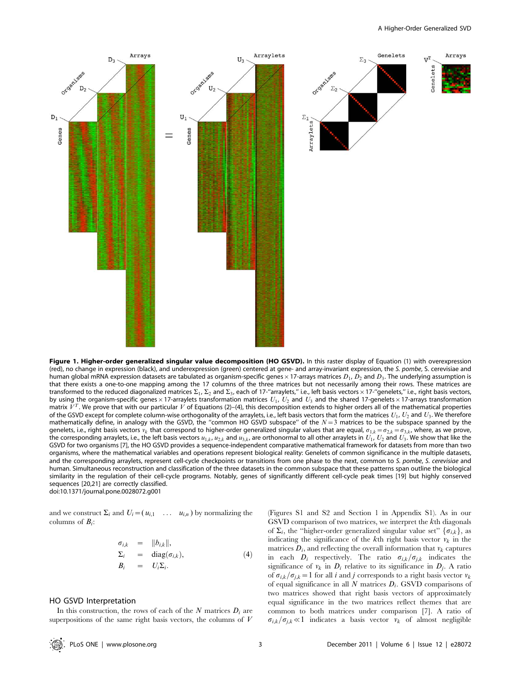

Figure 1. Higher-order generalized singular value decomposition (HO GSVD). In this raster display of Equation (1) with overexpression (red), no change in expression (black), and underexpression (green) centered at gene- and array-invariant expression, the S. pombe, S. cerevisiae and human global mRNA expression datasets are tabulated as organism-specific genes  $\times$  17-arrays matrices  $D_1$ ,  $D_2$  and  $D_3$ . The underlying assumption is that there exists a one-to-one mapping among the 17 columns of the three matrices but not necessarily among their rows. These matrices are transformed to the reduced diagonalized matrices  $\Sigma_1$ ,  $\Sigma_2$  and  $\Sigma_3$ , each of 17-"arraylets," i.e., left basis vectors × 17-"genelets," i.e., right basis vectors, by using the organism-specific genes  $\times$  17-arraylets transformation matrices  $U_1$ ,  $U_2$  and  $U_3$  and the shared 17-genelets  $\times$  17-arrays transformation matrix  $V^T$ . We prove that with our particular  $V$  of Equations (2)–(4), this decomposition extends to higher orders all of the mathematical properties of the GSVD except for complete column-wise orthogonality of the arraylets, i.e., left basis vectors that form the matrices  $U_1$ ,  $U_2$  and  $U_3$ . We therefore mathematically define, in analogy with the GSVD, the "common HO GSVD subspace" of the  $N=3$  matrices to be the subspace spanned by the genelets, i.e., right basis vectors  $v_k$  that correspond to higher-order generalized singular values that are equal,  $\sigma_{1,k} = \sigma_{2,k} = \sigma_{3,k}$ , where, as we prove, the corresponding arraylets, i.e., the left basis vectors  $u_{1,k}$ ,  $u_{2,k}$  and  $u_{3,k}$ , are orthonormal to all other arraylets in  $U_1$ ,  $U_2$  and  $U_3$ . We show that like the GSVD for two organisms [7], the HO GSVD provides a sequence-independent comparative mathematical framework for datasets from more than two organisms, where the mathematical variables and operations represent biological reality: Genelets of common significance in the multiple datasets, and the corresponding arraylets, represent cell-cycle checkpoints or transitions from one phase to the next, common to S. pombe, S. cerevisiae and human. Simultaneous reconstruction and classification of the three datasets in the common subspace that these patterns span outline the biological similarity in the regulation of their cell-cycle programs. Notably, genes of significantly different cell-cycle peak times [19] but highly conserved sequences [20,21] are correctly classified.

doi:10.1371/journal.pone.0028072.g001

and we construct  $\Sigma_i$  and  $U_i=(u_{i,1}, \ldots, u_{i,n})$  by normalizing the columns of  $B_i$ :

$$
\begin{array}{rcl}\n\sigma_{i,k} & = & ||b_{i,k}||, \\
\Sigma_i & = & \text{diag}(\sigma_{i,k}), \\
B_i & = & U_i \Sigma_i.\n\end{array} \tag{4}
$$

#### HO GSVD Interpretation

In this construction, the rows of each of the N matrices  $D_i$  are superpositions of the same right basis vectors, the columns of  $V$ 

(Figures S1 and S2 and Section 1 in Appendix S1). As in our GSVD comparison of two matrices, we interpret the kth diagonals of  $\Sigma_i$ , the "higher-order generalized singular value set"  $\{\sigma_{i,k}\}\$ , as indicating the significance of the kth right basis vector  $v_k$  in the matrices  $D_i$ , and reflecting the overall information that  $v_k$  captures in each  $D_i$  respectively. The ratio  $\sigma_{i,k}/\sigma_{j,k}$  indicates the significance of  $v_k$  in  $D_i$  relative to its significance in  $D_i$ . A ratio of  $\sigma_{i,k}/\sigma_{j,k}=1$  for all i and j corresponds to a right basis vector  $v_k$ of equal significance in all  $N$  matrices  $D_i$ . GSVD comparisons of two matrices showed that right basis vectors of approximately equal significance in the two matrices reflect themes that are common to both matrices under comparison [7]. A ratio of  $\sigma_{i,k}/\sigma_{j,k} \ll 1$  indicates a basis vector  $v_k$  of almost negligible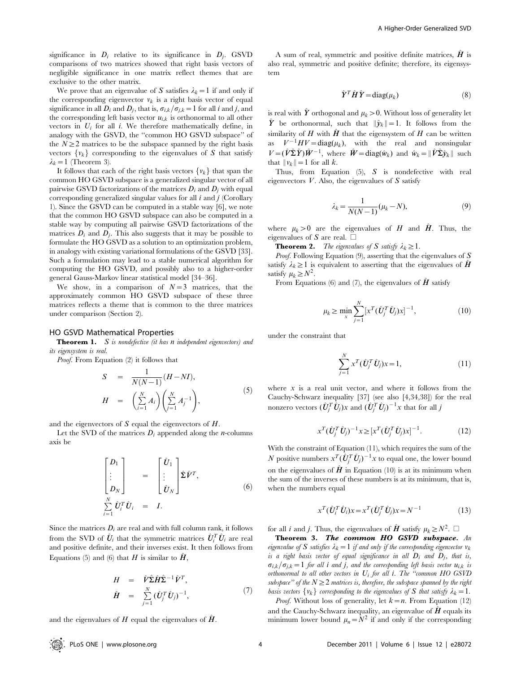significance in  $D_i$  relative to its significance in  $D_j$ . GSVD comparisons of two matrices showed that right basis vectors of negligible significance in one matrix reflect themes that are exclusive to the other matrix.

We prove that an eigenvalue of S satisfies  $\lambda_k=1$  if and only if the corresponding eigenvector  $v_k$  is a right basis vector of equal significance in all  $D_i$  and  $D_j$ , that is,  $\sigma_{i,k}/\sigma_{j,k}=1$  for all i and j, and the corresponding left basis vector  $u_{i,k}$  is orthonormal to all other vectors in  $U_i$  for all i. We therefore mathematically define, in analogy with the GSVD, the ''common HO GSVD subspace'' of the  $N \geq 2$  matrices to be the subspace spanned by the right basis vectors  $\{v_k\}$  corresponding to the eigenvalues of S that satisfy  $\lambda_k=1$  (Theorem 3).

It follows that each of the right basis vectors  $\{v_k\}$  that span the common HO GSVD subspace is a generalized singular vector of all pairwise GSVD factorizations of the matrices  $D_i$  and  $D_j$  with equal corresponding generalized singular values for all  $i$  and  $j$  (Corollary 1). Since the GSVD can be computed in a stable way [6], we note that the common HO GSVD subspace can also be computed in a stable way by computing all pairwise GSVD factorizations of the matrices  $D_i$  and  $D_j$ . This also suggests that it may be possible to formulate the HO GSVD as a solution to an optimization problem, in analogy with existing variational formulations of the GSVD [33]. Such a formulation may lead to a stable numerical algorithm for computing the HO GSVD, and possibly also to a higher-order general Gauss-Markov linear statistical model [34–36].

We show, in a comparison of  $N=3$  matrices, that the approximately common HO GSVD subspace of these three matrices reflects a theme that is common to the three matrices under comparison (Section 2).

## HO GSVD Mathematical Properties

**Theorem 1.** S is nondefective (it has n independent eigenvectors) and its eigensystem is real.

Proof. From Equation (2) it follows that

$$
S = \frac{1}{N(N-1)}(H - NI),
$$
  
\n
$$
H = \left(\sum_{i=1}^{N} A_i\right) \left(\sum_{j=1}^{N} A_j^{-1}\right),
$$
\n(5)

and the eigenvectors of  $S$  equal the eigenvectors of  $H$ .

Let the SVD of the matrices  $D_i$  appended along the *n*-columns axis be

$$
\begin{bmatrix} D_1 \\ \vdots \\ D_N \end{bmatrix} = \begin{bmatrix} \hat{U}_1 \\ \vdots \\ \hat{U}_N \end{bmatrix} \hat{\Sigma} \hat{V}^T,
$$
\n
$$
\sum_{i=1}^N \hat{U}_i^T \hat{U}_i = I.
$$
\n(6)

Since the matrices  $D_i$  are real and with full column rank, it follows from the SVD of  $\hat{U}_i$  that the symmetric matrices  $\hat{U}_i^T \hat{U}_i$  are real and positive definite, and their inverses exist. It then follows from Equations (5) and (6) that H is similar to  $\hat{H}$ ,

$$
H = \hat{V}\hat{\Sigma}\hat{H}\hat{\Sigma}^{-1}\hat{V}^{T},
$$
  

$$
\hat{H} = \sum_{j=1}^{N} (\hat{U}_{j}^{T}\hat{U}_{j})^{-1},
$$
 (7)

and the eigenvalues of  $H$  equal the eigenvalues of  $H$ .

A sum of real, symmetric and positive definite matrices,  $\hat{H}$  is also real, symmetric and positive definite; therefore, its eigensystem

$$
\hat{Y}^T \hat{H} \hat{Y} = \text{diag}(\mu_k) \tag{8}
$$

is real with  $\hat{Y}$  orthogonal and  $\mu_k > 0$ . Without loss of generality let  $\hat{Y}$  be orthonormal, such that  $\|\hat{\mathbf{y}}_k\|=1$ . It follows from the similarity of H with  $\hat{H}$  that the eigensystem of H can be written as  $V^{-1}HV = \text{diag}(u_k)$ , with the real and nonsingular  $V=(\hat{V}\hat{\Sigma}\hat{Y})\hat{W}^{-1}$ , where  $\hat{W} = \text{diag}(\hat{w}_k)$  and  $\hat{w}_k=\|\hat{V}\hat{\Sigma}\hat{y}_k\|$  such that  $||v_k|| = 1$  for all k.

Thus, from Equation  $(5)$ , S is nondefective with real eigenvectors  $V$ . Also, the eigenvalues of  $S$  satisfy

$$
\lambda_k = \frac{1}{N(N-1)}(\mu_k - N),\tag{9}
$$

where  $\mu_k > 0$  are the eigenvalues of H and  $\hat{H}$ . Thus, the eigenvalues of S are real.  $\square$ 

**Theorem 2.** The eigenvalues of S satisfy  $\lambda_k \geq 1$ .

*Proof.* Following Equation  $(9)$ , asserting that the eigenvalues of S satisfy  $\lambda_k \geq 1$  is equivalent to asserting that the eigenvalues of  $\hat{H}$ satisfy  $\mu_k \geq N^2$ .

From Equations (6) and (7), the eigenvalues of  $\hat{H}$  satisfy

$$
\mu_k \ge \min_{x} \sum_{j=1}^{N} [x^T (\hat{U}_j^T \hat{U}_j) x]^{-1},
$$
\n(10)

under the constraint that

$$
\sum_{j=1}^{N} x^{T} (\hat{U}_{j}^{T} \hat{U}_{j}) x = 1,
$$
\n(11)

where  $x$  is a real unit vector, and where it follows from the Cauchy-Schwarz inequality [37] (see also [4,34,38]) for the real nonzero vectors  $(\hat{U}_j^T\hat{U}_j)x$  and  $(\hat{U}_j^T\hat{U}_j)^{-1}x$  that for all  $j$ 

$$
x^{T}(\hat{U}_{j}^{T}\hat{U}_{j})^{-1}x \geq [x^{T}(\hat{U}_{j}^{T}\hat{U}_{j})x]^{-1}.
$$
 (12)

With the constraint of Equation (11), which requires the sum of the  $N$  positive numbers  $x^T(\hat{U}_j^T\hat{U}_j)^{-1}x$  to equal one, the lower bound on the eigenvalues of  $\hat{H}$  in Equation (10) is at its minimum when the sum of the inverses of these numbers is at its minimum, that is, when the numbers equal

$$
x^{T}(\hat{U}_{i}^{T}\hat{U}_{i})x = x^{T}(\hat{U}_{j}^{T}\hat{U}_{j})x = N^{-1}
$$
\n(13)

for all *i* and *j*. Thus, the eigenvalues of  $\hat{H}$  satisfy  $\mu_k \geq N^2$ .  $\Box$ 

Theorem 3. The common HO GSVD subspace. An eigenvalue of S satisfies  $\lambda_k=1$  if and only if the corresponding eigenvector  $v_k$ is a right basis vector of equal significance in all  $D_i$  and  $D_j$ , that is,  $\sigma_{i,k}/\sigma_{i,k}=1$  for all i and j, and the corresponding left basis vector  $u_{i,k}$  is orthonormal to all other vectors in  $U_i$  for all i. The "common HO GSVD subspace'' of the  $N \geq 2$  matrices is, therefore, the subspace spanned by the right basis vectors  $\{v_k\}$  corresponding to the eigenvalues of S that satisfy  $\lambda_k=1$ .

*Proof.* Without loss of generality, let  $k=n$ . From Equation (12) and the Cauchy-Schwarz inequality, an eigenvalue of  $\hat{\pmb{H}}$  equals its minimum lower bound  $\mu_n = N^2$  if and only if the corresponding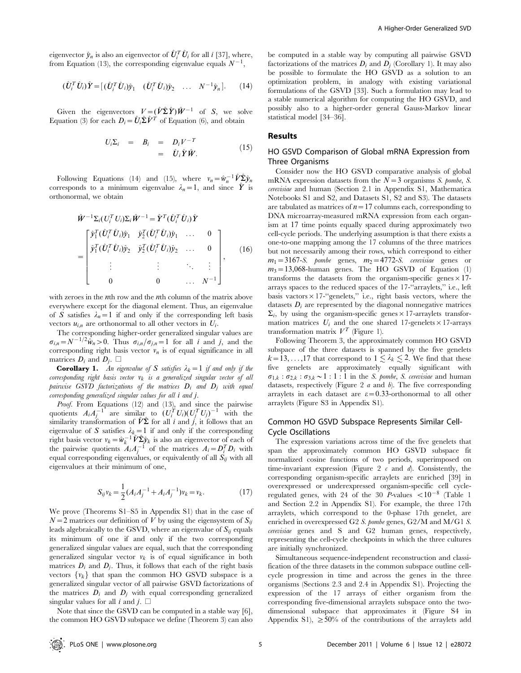eigenvector  $\hat{y}_n$  is also an eigenvector of  $\hat{U}_i^T \hat{U}_i$  for all  $i$  [37], where, from Equation (13), the corresponding eigenvalue equals  $N^{-1}$ ,

$$
(\hat{\boldsymbol{U}}_i^T \hat{\boldsymbol{U}}_i) \hat{\boldsymbol{Y}} = [(\hat{\boldsymbol{U}}_i^T \hat{\boldsymbol{U}}_i) \hat{\boldsymbol{y}}_1 \quad (\hat{\boldsymbol{U}}_i^T \hat{\boldsymbol{U}}_i) \hat{\boldsymbol{y}}_2 \quad \dots \quad N^{-1} \hat{\boldsymbol{y}}_n]. \tag{14}
$$

Given the eigenvectors  $V=(\hat{V}\hat{\Sigma}\hat{Y})\hat{W}^{-1}$  of S, we solve Equation (3) for each  $D_i = \hat{U}_i \hat{\Sigma} \hat{V}^T$  of Equation (6), and obtain

$$
U_i \Sigma_i = B_i = D_i V^{-T}
$$
  
=  $\hat{U}_i \hat{Y} \hat{W}$ . (15)

Following Equations (14) and (15), where  $v_n = \hat{w}_n^{-1} \hat{V} \hat{\Sigma} \hat{y}_n$ corresponds to a minimum eigenvalue  $\lambda_n=1$ , and since Y is orthonormal, we obtain

$$
\hat{\mathbf{\mathcal{W}}}^{-1} \Sigma_i (U_i^T U_i) \Sigma_i \hat{\mathbf{\mathcal{W}}}^{-1} = \hat{\mathbf{\mathcal{Y}}}^T (\hat{\mathbf{U}}_i^T \hat{\mathbf{U}}_i) \hat{\mathbf{\mathcal{Y}}} \n= \begin{bmatrix}\n\hat{y}_1^T (\hat{\mathbf{U}}_i^T \hat{\mathbf{U}}_i) \hat{y}_1 & \hat{y}_2^T (\hat{\mathbf{U}}_i^T \hat{\mathbf{U}}_i) \hat{y}_1 & \dots & 0 \\
\hat{y}_1^T (\hat{\mathbf{U}}_i^T \hat{\mathbf{U}}_i) \hat{y}_2 & \hat{y}_2^T (\hat{\mathbf{U}}_i^T \hat{\mathbf{U}}_i) \hat{y}_2 & \dots & 0 \\
\vdots & \vdots & \ddots & \vdots \\
0 & 0 & \dots & N^{-1}\n\end{bmatrix},
$$
\n(16)

with zeroes in the nth row and the nth column of the matrix above everywhere except for the diagonal element. Thus, an eigenvalue of S satisfies  $\lambda_n=1$  if and only if the corresponding left basis vectors  $u_{i,n}$  are orthonormal to all other vectors in  $U_i$ .

The corresponding higher-order generalized singular values are  $\sigma_{i,n}=N^{-1/2}\tilde{w}_n>0$ . Thus  $\sigma_{i,n}/\sigma_{j,n}=1$  for all i and j, and the corresponding right basis vector  $v_n$  is of equal significance in all matrices  $D_i$  and  $D_i$ .  $\square$ 

**Corollary 1.** An eigenvalue of S satisfies  $\lambda_k=1$  if and only if the corresponding right basis vector  $v_k$  is a generalized singular vector of all pairwise GSVD factorizations of the matrices  $D_i$  and  $D_j$  with equal corresponding generalized singular values for all i and j.

*Proof.* From Equations (12) and (13), and since the pairwise quotients  $A_i A_j^{-1}$  are similar to  $(U_i^T U_i)(U_j^T U_j)^{-1}$  with the similarity transformation of  $\hat{V}\hat{\Sigma}$  for all i and j, it follows that an eigenvalue of S satisfies  $\lambda_k=1$  if and only if the corresponding right basis vector  $v_k = \hat{w}_k^{-1} \hat{V} \hat{\Sigma} \hat{y}_k$  is also an eigenvector of each of the pairwise quotients  $A_i A_j^{-1}$  of the matrices  $A_i = D_i^T D_i$  with equal corresponding eigenvalues, or equivalently of all  $S_{ij}$  with all eigenvalues at their minimum of one,

$$
S_{ij}v_k = \frac{1}{2}(A_iA_j^{-1} + A_iA_j^{-1})v_k = v_k.
$$
 (17)

We prove (Theorems S1–S5 in Appendix S1) that in the case of  $N=2$  matrices our definition of V by using the eigensystem of  $S_{ij}$ leads algebraically to the GSVD, where an eigenvalue of  $S_{ii}$  equals its minimum of one if and only if the two corresponding generalized singular values are equal, such that the corresponding generalized singular vector  $v_k$  is of equal significance in both matrices  $D_i$  and  $D_j$ . Thus, it follows that each of the right basis vectors  $\{v_k\}$  that span the common HO GSVD subspace is a generalized singular vector of all pairwise GSVD factorizations of the matrices  $D_i$  and  $D_j$  with equal corresponding generalized singular values for all i and j.  $\Box$ 

Note that since the GSVD can be computed in a stable way [6], the common HO GSVD subspace we define (Theorem 3) can also be computed in a stable way by computing all pairwise GSVD factorizations of the matrices  $D_i$  and  $D_j$  (Corollary 1). It may also be possible to formulate the HO GSVD as a solution to an optimization problem, in analogy with existing variational formulations of the GSVD [33]. Such a formulation may lead to a stable numerical algorithm for computing the HO GSVD, and possibly also to a higher-order general Gauss-Markov linear statistical model [34–36].

#### Results

## HO GSVD Comparison of Global mRNA Expression from Three Organisms

Consider now the HO GSVD comparative analysis of global mRNA expression datasets from the  $N=3$  organisms S. pombe, S. cerevisiae and human (Section 2.1 in Appendix S1, Mathematica Notebooks S1 and S2, and Datasets S1, S2 and S3). The datasets are tabulated as matrices of  $n=17$  columns each, corresponding to DNA microarray-measured mRNA expression from each organism at 17 time points equally spaced during approximately two cell-cycle periods. The underlying assumption is that there exists a one-to-one mapping among the 17 columns of the three matrices but not necessarily among their rows, which correspond to either  $m_1 = 3167$ -S. pombe genes,  $m_2 = 4772$ -S. cerevisiae genes or  $m_3 = 13,068$ -human genes. The HO GSVD of Equation (1) transforms the datasets from the organism-specific genes  $\times$  17arrays spaces to the reduced spaces of the 17-''arraylets,'' i.e., left basis vactors  $\times$  17-"genelets," i.e., right basis vectors, where the datasets  $D_i$  are represented by the diagonal nonnegative matrices  $\Sigma_i$ , by using the organism-specific genes  $\times$  17-arraylets transformation matrices  $U_i$  and the one shared 17-genelets  $\times$  17-arrays transformation matrix  $V^T$  (Figure 1).

Following Theorem 3, the approximately common HO GSVD subspace of the three datasets is spanned by the five genelets  $k=13, \ldots, 17$  that correspond to  $1 \lesssim \lambda_k \lesssim 2$ . We find that these five genelets are approximately equally significant with  $\sigma_{1,k} : \sigma_{2,k} : \sigma_{3,k} \sim 1 : 1 : 1$  in the S. pombe, S. cerevisiae and human datasets, respectively (Figure 2  $a$  and  $b$ ). The five corresponding arraylets in each dataset are  $\varepsilon = 0.33$ -orthonormal to all other arraylets (Figure S3 in Appendix S1).

## Common HO GSVD Subspace Represents Similar Cell-Cycle Oscillations

The expression variations across time of the five genelets that span the approximately common HO GSVD subspace fit normalized cosine functions of two periods, superimposed on time-invariant expression (Figure 2  $c$  and  $d$ ). Consistently, the corresponding organism-specific arraylets are enriched [39] in overexpressed or underexpressed organism-specific cell cycleregulated genes, with 24 of the 30 P-values  $\langle 10^{-8} \rangle$  (Table 1 and Section 2.2 in Appendix S1). For example, the three 17th arraylets, which correspond to the 0-phase 17th genelet, are enriched in overexpressed G2 S. pombe genes, G2/M and M/G1 S. cerevisiae genes and S and G2 human genes, respectively, representing the cell-cycle checkpoints in which the three cultures are initially synchronized.

Simultaneous sequence-independent reconstruction and classification of the three datasets in the common subspace outline cellcycle progression in time and across the genes in the three organisms (Sections 2.3 and 2.4 in Appendix S1). Projecting the expression of the 17 arrays of either organism from the corresponding five-dimensional arraylets subspace onto the twodimensional subspace that approximates it (Figure S4 in Appendix S1),  $\geq 50\%$  of the contributions of the arraylets add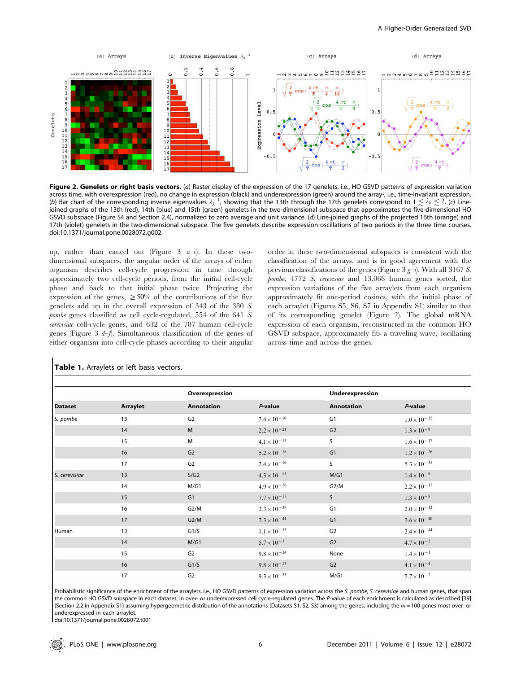

Figure 2. Genelets or right basis vectors. (a) Raster display of the expression of the 17 genelets, i.e., HO GSVD patterns of expression variation across time, with overexpression (red), no change in expression (black) and underexpression (green) around the array-, i.e., time-invariant expression. (b) Bar chart of the corresponding inverse eigenvalues  $\lambda_k^{-1}$ , showing that the 13th through the 17th genelets correspond to  $1 \lesssim \lambda_k \lesssim 2$ . (c) Linejoined graphs of the 13th (red), 14th (blue) and 15th (green) genelets in the two-dimensional subspace that approximates the five-dimensional HO GSVD subspace (Figure S4 and Section 2.4), normalized to zero average and unit variance. (d) Line-joined graphs of the projected 16th (orange) and 17th (violet) genelets in the two-dimensional subspace. The five genelets describe expression oscillations of two periods in the three time courses. doi:10.1371/journal.pone.0028072.g002

up, rather than cancel out (Figure 3  $a-c$ ). In these twodimensional subspaces, the angular order of the arrays of either organism describes cell-cycle progression in time through approximately two cell-cycle periods, from the initial cell-cycle phase and back to that initial phase twice. Projecting the expression of the genes,  $\geq 50\%$  of the contributions of the five genelets add up in the overall expression of 343 of the 380 S. pombe genes classified as cell cycle-regulated, 554 of the 641 S. cerevisiae cell-cycle genes, and 632 of the 787 human cell-cycle genes (Figure 3  $d-f$ ). Simultaneous classification of the genes of either organism into cell-cycle phases according to their angular

order in these two-dimensional subspaces is consistent with the classification of the arrays, and is in good agreement with the previous classifications of the genes (Figure 3  $g$ –i). With all 3167 S. pombe, 4772 S. cerevisiae and 13,068 human genes sorted, the expression variations of the five arraylets from each organism approximately fit one-period cosines, with the initial phase of each arraylet (Figures S5, S6, S7 in Appendix S1) similar to that of its corresponding genelet (Figure 2). The global mRNA expression of each organism, reconstructed in the common HO GSVD subspace, approximately fits a traveling wave, oscillating across time and across the genes.

|                | Arraylet | Overexpression    |                       | Underexpression   |                       |
|----------------|----------|-------------------|-----------------------|-------------------|-----------------------|
| <b>Dataset</b> |          | <b>Annotation</b> | P-value               | <b>Annotation</b> | $P$ -value            |
| S. pombe       | 13       | G <sub>2</sub>    | $2.4 \times 10^{-10}$ | G1                | $1.0 \times 10^{-15}$ |
|                | 14       | M                 | $2.2 \times 10^{-21}$ | G <sub>2</sub>    | $1.3 \times 10^{-9}$  |
|                | 15       | M                 | $4.1 \times 10^{-13}$ | S                 | $1.6 \times 10^{-17}$ |
|                | 16       | G <sub>2</sub>    | $5.2 \times 10^{-18}$ | G <sub>1</sub>    | $1.2 \times 10^{-26}$ |
|                | 17       | G <sub>2</sub>    | $2.4 \times 10^{-10}$ | S                 | $5.3 \times 10^{-35}$ |
| S. cerevisiae  | 13       | S/G2              | $4.3 \times 10^{-15}$ | M/G1              | $1.4 \times 10^{-9}$  |
|                | 14       | M/G1              | $4.9 \times 10^{-26}$ | G2/M              | $2.2 \times 10^{-12}$ |
|                | 15       | G <sub>1</sub>    | $7.7 \times 10^{-17}$ | S                 | $1.3 \times 10^{-8}$  |
|                | 16       | G2/M              | $2.3 \times 10^{-38}$ | G <sub>1</sub>    | $2.0 \times 10^{-32}$ |
|                | 17       | G2/M              | $2.3 \times 10^{-41}$ | G <sub>1</sub>    | $2.6 \times 10^{-40}$ |
| Human          | 13       | G1/S              | $1.1 \times 10^{-33}$ | G <sub>2</sub>    | $2.4 \times 10^{-44}$ |
|                | 14       | M/G1              | $5.7 \times 10^{-3}$  | G <sub>2</sub>    | $4.7 \times 10^{-2}$  |
|                | 15       | G <sub>2</sub>    | $9.8 \times 10^{-24}$ | None              | $1.4 \times 10^{-1}$  |
|                | 16       | G1/S              | $9.8 \times 10^{-13}$ | G <sub>2</sub>    | $4.1 \times 10^{-4}$  |
|                | 17       | G <sub>2</sub>    | $9.3 \times 10^{-33}$ | M/G1              | $2.7 \times 10^{-2}$  |

### Table 1. Arraylets or left basis vectors.

Probabilistic significance of the enrichment of the arraylets, i.e., HO GSVD patterns of expression variation across the S. pombe, S. cerevisiae and human genes, that span the common HO GSVD subspace in each dataset, in over- or underexpressed cell cycle-regulated genes. The P-value of each enrichment is calculated as described [39] (Section 2.2 in Appendix S1) assuming hypergeometric distribution of the annotations (Datasets S1, S2, S3) among the genes, including the  $m = 100$  genes most over- or underexpressed in each arraylet.

doi:10.1371/journal.pone.0028072.t001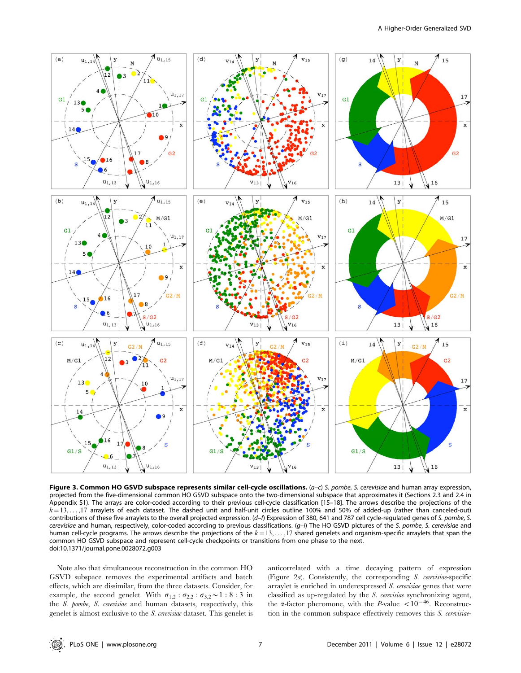

Figure 3. Common HO GSVD subspace represents similar cell-cycle oscillations. (a-c) S. pombe, S. cerevisiae and human array expression, projected from the five-dimensional common HO GSVD subspace onto the two-dimensional subspace that approximates it (Sections 2.3 and 2.4 in Appendix S1). The arrays are color-coded according to their previous cell-cycle classification [15–18]. The arrows describe the projections of the  $k=13, \ldots, 17$  arraylets of each dataset. The dashed unit and half-unit circles outline 100% and 50% of added-up (rather than canceled-out) contributions of these five arraylets to the overall projected expression. (d-f) Expression of 380, 641 and 787 cell cycle-regulated genes of S. pombe, S. cerevisiae and human, respectively, color-coded according to previous classifications. (g-i) The HO GSVD pictures of the S. pombe, S. cerevisiae and human cell-cycle programs. The arrows describe the projections of the  $k=13, \ldots, 17$  shared genelets and organism-specific arraylets that span the common HO GSVD subspace and represent cell-cycle checkpoints or transitions from one phase to the next. doi:10.1371/journal.pone.0028072.g003

Note also that simultaneous reconstruction in the common HO GSVD subspace removes the experimental artifacts and batch effects, which are dissimilar, from the three datasets. Consider, for example, the second genelet. With  $\sigma_{1,2} : \sigma_{2,2} : \sigma_{3,2} \sim 1 : 8 : 3$  in the S. pombe, S. cerevisiae and human datasets, respectively, this genelet is almost exclusive to the S. cerevisiae dataset. This genelet is anticorrelated with a time decaying pattern of expression (Figure 2a). Consistently, the corresponding S. cerevisiae-specific arraylet is enriched in underexpressed S. cerevisiae genes that were classified as up-regulated by the S. cerevisiae synchronizing agent, the  $\alpha$ -factor pheromone, with the *P*-value <10<sup>-46</sup>. Reconstruction in the common subspace effectively removes this S. cerevisiae-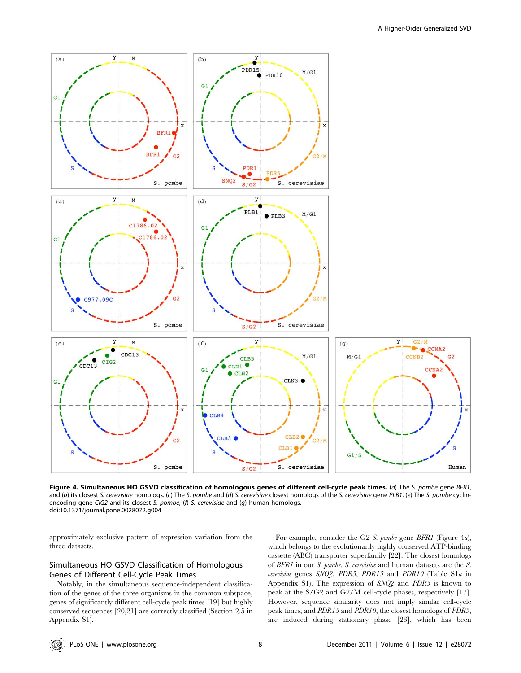

Figure 4. Simultaneous HO GSVD classification of homologous genes of different cell-cycle peak times. (a) The S. pombe gene BFR1, and (b) its closest S. cerevisiae homologs. (c) The S. pombe and (d) S. cerevisiae closest homologs of the S. cerevisiae gene PLB1. (e) The S. pombe cyclinencoding gene CIG2 and its closest S. pombe, (f) S. cerevisiae and (g) human homologs. doi:10.1371/journal.pone.0028072.g004

approximately exclusive pattern of expression variation from the three datasets.

## Simultaneous HO GSVD Classification of Homologous Genes of Different Cell-Cycle Peak Times

Notably, in the simultaneous sequence-independent classification of the genes of the three organisms in the common subspace, genes of significantly different cell-cycle peak times [19] but highly conserved sequences [20,21] are correctly classified (Section 2.5 in Appendix S1).

For example, consider the G2 S. pombe gene BFR1 (Figure 4a), which belongs to the evolutionarily highly conserved ATP-binding cassette (ABC) transporter superfamily [22]. The closest homologs of BFR1 in our S. pombe, S. cerevisiae and human datasets are the S. cerevisiae genes SNQ2, PDR5, PDR15 and PDR10 (Table S1a in Appendix S1). The expression of SNQ2 and PDR5 is known to peak at the S/G2 and G2/M cell-cycle phases, respectively [17]. However, sequence similarity does not imply similar cell-cycle peak times, and PDR15 and PDR10, the closest homologs of PDR5, are induced during stationary phase [23], which has been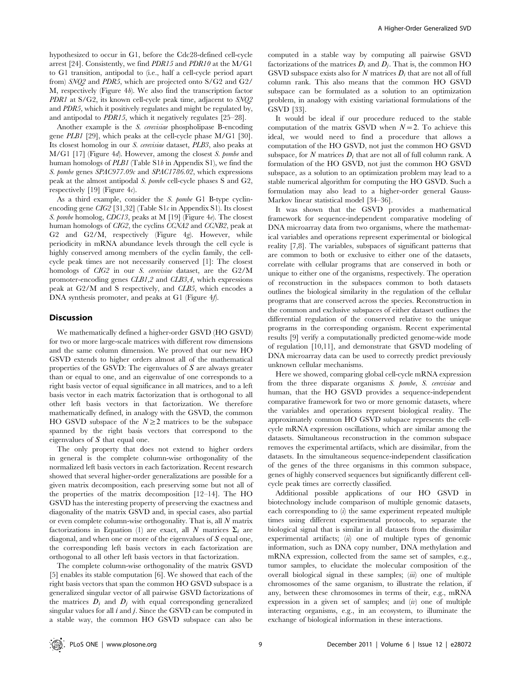hypothesized to occur in G1, before the Cdc28-defined cell-cycle arrest [24]. Consistently, we find *PDR15* and *PDR10* at the M/G1 to G1 transition, antipodal to (i.e., half a cell-cycle period apart from) SNQ2 and PDR5, which are projected onto S/G2 and G2/ M, respectively (Figure 4b). We also find the transcription factor PDR1 at S/G2, its known cell-cycle peak time, adjacent to SNQ2 and PDR5, which it positively regulates and might be regulated by, and antipodal to PDR15, which it negatively regulates [25–28].

Another example is the S. cerevisiae phospholipase B-encoding gene *PLB1* [29], which peaks at the cell-cycle phase M/G1 [30]. Its closest homolog in our S. cerevisiae dataset, PLB3, also peaks at M/G1 [17] (Figure 4d). However, among the closest S. pombe and human homologs of *PLB1* (Table S1b in Appendix S1), we find the S. pombe genes SPAC977.09c and SPAC1786.02, which expressions peak at the almost antipodal S. pombe cell-cycle phases S and G2, respectively [19] (Figure  $4c$ ).

As a third example, consider the S. pombe G1 B-type cyclinencoding gene CIG2 [31,32] (Table  $S1c$  in Appendix S1). Its closest S. pombe homolog, CDC13, peaks at M [19] (Figure  $4e$ ). The closest human homologs of CIG2, the cyclins CCNA2 and CCNB2, peak at G2 and G2/M, respectively (Figure 4g). However, while periodicity in mRNA abundance levels through the cell cycle is highly conserved among members of the cyclin family, the cellcycle peak times are not necessarily conserved [1]: The closest homologs of CIG2 in our S. cerevisiae dataset, are the G2/M promoter-encoding genes CLB1,2 and CLB3,4, which expressions peak at G2/M and S respectively, and CLB5, which encodes a DNA synthesis promoter, and peaks at G1 (Figure 4f).

#### **Discussion**

We mathematically defined a higher-order GSVD (HO GSVD) for two or more large-scale matrices with different row dimensions and the same column dimension. We proved that our new HO GSVD extends to higher orders almost all of the mathematical properties of the GSVD: The eigenvalues of S are always greater than or equal to one, and an eigenvalue of one corresponds to a right basis vector of equal significance in all matrices, and to a left basis vector in each matrix factorization that is orthogonal to all other left basis vectors in that factorization. We therefore mathematically defined, in analogy with the GSVD, the common HO GSVD subspace of the  $N\geq 2$  matrices to be the subspace spanned by the right basis vectors that correspond to the eigenvalues of  $S$  that equal one.

The only property that does not extend to higher orders in general is the complete column-wise orthogonality of the normalized left basis vectors in each factorization. Recent research showed that several higher-order generalizations are possible for a given matrix decomposition, each preserving some but not all of the properties of the matrix decomposition [12–14]. The HO GSVD has the interesting property of preserving the exactness and diagonality of the matrix GSVD and, in special cases, also partial or even complete column-wise orthogonality. That is, all N matrix factorizations in Equation (1) are exact, all N matrices  $\Sigma_i$  are diagonal, and when one or more of the eigenvalues of S equal one, the corresponding left basis vectors in each factorization are orthogonal to all other left basis vectors in that factorization.

The complete column-wise orthogonality of the matrix GSVD [5] enables its stable computation [6]. We showed that each of the right basis vectors that span the common HO GSVD subspace is a generalized singular vector of all pairwise GSVD factorizations of the matrices  $D_i$  and  $D_j$  with equal corresponding generalized singular values for all  $i$  and  $j$ . Since the GSVD can be computed in a stable way, the common HO GSVD subspace can also be

computed in a stable way by computing all pairwise GSVD factorizations of the matrices  $D_i$  and  $D_j$ . That is, the common HO GSVD subspace exists also for N matrices  $D_i$  that are not all of full column rank. This also means that the common HO GSVD subspace can be formulated as a solution to an optimization problem, in analogy with existing variational formulations of the GSVD [33].

It would be ideal if our procedure reduced to the stable computation of the matrix GSVD when  $N=2$ . To achieve this ideal, we would need to find a procedure that allows a computation of the HO GSVD, not just the common HO GSVD subspace, for N matrices  $D_i$  that are not all of full column rank. A formulation of the HO GSVD, not just the common HO GSVD subspace, as a solution to an optimization problem may lead to a stable numerical algorithm for computing the HO GSVD. Such a formulation may also lead to a higher-order general Gauss-Markov linear statistical model [34–36].

It was shown that the GSVD provides a mathematical framework for sequence-independent comparative modeling of DNA microarray data from two organisms, where the mathematical variables and operations represent experimental or biological reality [7,8]. The variables, subspaces of significant patterns that are common to both or exclusive to either one of the datasets, correlate with cellular programs that are conserved in both or unique to either one of the organisms, respectively. The operation of reconstruction in the subspaces common to both datasets outlines the biological similarity in the regulation of the cellular programs that are conserved across the species. Reconstruction in the common and exclusive subspaces of either dataset outlines the differential regulation of the conserved relative to the unique programs in the corresponding organism. Recent experimental results [9] verify a computationally predicted genome-wide mode of regulation [10,11], and demonstrate that GSVD modeling of DNA microarray data can be used to correctly predict previously unknown cellular mechanisms.

Here we showed, comparing global cell-cycle mRNA expression from the three disparate organisms S. pombe, S. cerevisiae and human, that the HO GSVD provides a sequence-independent comparative framework for two or more genomic datasets, where the variables and operations represent biological reality. The approximately common HO GSVD subspace represents the cellcycle mRNA expression oscillations, which are similar among the datasets. Simultaneous reconstruction in the common subspace removes the experimental artifacts, which are dissimilar, from the datasets. In the simultaneous sequence-independent classification of the genes of the three organisms in this common subspace, genes of highly conserved sequences but significantly different cellcycle peak times are correctly classified.

Additional possible applications of our HO GSVD in biotechnology include comparison of multiple genomic datasets, each corresponding to  $(i)$  the same experiment repeated multiple times using different experimental protocols, to separate the biological signal that is similar in all datasets from the dissimilar experimental artifacts;  $(ii)$  one of multiple types of genomic information, such as DNA copy number, DNA methylation and mRNA expression, collected from the same set of samples, e.g., tumor samples, to elucidate the molecular composition of the overall biological signal in these samples;  $(iii)$  one of multiple chromosomes of the same organism, to illustrate the relation, if any, between these chromosomes in terms of their, e.g., mRNA expression in a given set of samples; and  $(iv)$  one of multiple interacting organisms, e.g., in an ecosystem, to illuminate the exchange of biological information in these interactions.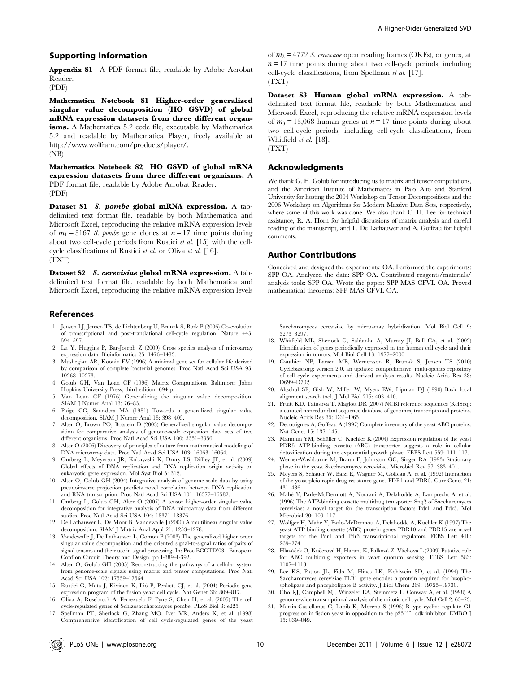## Supporting Information

Appendix S1 A PDF format file, readable by Adobe Acrobat Reader.

(PDF)

Mathematica Notebook S1 Higher-order generalized singular value decomposition (HO GSVD) of global mRNA expression datasets from three different organisms. A Mathematica 5.2 code file, executable by Mathematica 5.2 and readable by Mathematica Player, freely available at http://www.wolfram.com/products/player/. (NB)

Mathematica Notebook S2 HO GSVD of global mRNA expression datasets from three different organisms. A PDF format file, readable by Adobe Acrobat Reader. (PDF)

Dataset S1 S. pombe global mRNA expression. A tabdelimited text format file, readable by both Mathematica and Microsoft Excel, reproducing the relative mRNA expression levels of  $m_1 = 3167$  S. pombe gene clones at  $n = 17$  time points during about two cell-cycle periods from Rustici et al. [15] with the cellcycle classifications of Rustici et al. or Oliva et al. [16]. (TXT)

Dataset S2 S. cerevisiae global mRNA expression. A tabdelimited text format file, readable by both Mathematica and Microsoft Excel, reproducing the relative mRNA expression levels

## References

- 1. Jensen LJ, Jensen TS, de Lichtenberg U, Brunak S, Bork P (2006) Co-evolution of transcriptional and post-translational cell-cycle regulation. Nature 443: 594–597.
- 2. Lu Y, Huggins P, Bar-Joseph Z (2009) Cross species analysis of microarray expression data. Bioinformatics 25: 1476–1483.
- 3. Mushegian AR, Koonin EV (1996) A minimal gene set for cellular life derived by comparison of complete bacterial genomes. Proc Natl Acad Sci USA 93: 10268–10273.
- 4. Golub GH, Van Loan CF (1996) Matrix Computations. Baltimore: Johns Hopkins University Press, third edition. 694 p.
- 5. Van Loan CF (1976) Generalizing the singular value decomposition. SIAM J Numer Anal 13: 76–83.
- 6. Paige CC, Saunders MA (1981) Towards a generalized singular value decomposition. SIAM J Numer Anal 18: 398–405.
- 7. Alter O, Brown PO, Botstein D (2003) Generalized singular value decomposition for comparative analysis of genome-scale expression data sets of two different organisms. Proc Natl Acad Sci USA 100: 3351–3356.
- 8. Alter O (2006) Discovery of principles of nature from mathematical modeling of DNA microarray data. Proc Natl Acad Sci USA 103: 16063–16064.
- 9. Omberg L, Meyerson JR, Kobayashi K, Drury LS, Diffley JF, et al. (2009) Global effects of DNA replication and DNA replication origin activity on eukaryotic gene expression. Mol Syst Biol 5: 312.
- 10. Alter O, Golub GH (2004) Integrative analysis of genome-scale data by using pseudoinverse projection predicts novel correlation between DNA replication and RNA transcription. Proc Natl Acad Sci USA 101: 16577–16582.
- 11. Omberg L, Golub GH, Alter O (2007) A tensor higher-order singular value decomposition for integrative analysis of DNA microarray data from different studies. Proc Natl Acad Sci USA 104: 18371–18376.
- 12. De Lathauwer L, De Moor B, Vandewalle J (2000) A multilinear singular value decomposition. SIAM J Matrix Anal Appl 21: 1253–1278.
- 13. Vandewalle J, De Lathauwer L, Comon P (2003) The generalized higher order singular value decomposition and the oriented signal-to-signal ratios of pairs of signal tensors and their use in signal processing. In: Proc ECCTD'03 - European Conf on Circuit Theory and Design. pp I-389–I-392.
- 14. Alter O, Golub GH (2005) Reconstructing the pathways of a cellular system from genome-scale signals using matrix and tensor computations. Proc Natl Acad Sci USA 102: 17559–17564.
- 15. Rustici G, Mata J, Kivinen K, Lio´ P, Penkett CJ, et al. (2004) Periodic gene expression program of the fission yeast cell cycle. Nat Genet 36: 809–817.
- 16. Oliva A, Rosebrock A, Ferrezuelo F, Pyne S, Chen H, et al. (2005) The cell cycle-regulated genes of Schizosaccharomyces pombe. PLoS Biol 3: e225.
- 17. Spellman PT, Sherlock G, Zhang MQ, Iyer VR, Anders K, et al. (1998) Comprehensive identification of cell cycle-regulated genes of the yeast

of  $m_2 = 4772$  S. cerevisiae open reading frames (ORFs), or genes, at  $n = 17$  time points during about two cell-cycle periods, including cell-cycle classifications, from Spellman et al. [17]. (TXT)

Dataset S3 Human global mRNA expression. A tabdelimited text format file, readable by both Mathematica and Microsoft Excel, reproducing the relative mRNA expression levels of  $m_3 = 13,068$  human genes at  $n = 17$  time points during about two cell-cycle periods, including cell-cycle classifications, from Whitfield et al. [18]. (TXT)

## Acknowledgments

We thank G. H. Golub for introducing us to matrix and tensor computations, and the American Institute of Mathematics in Palo Alto and Stanford University for hosting the 2004 Workshop on Tensor Decompositions and the 2006 Workshop on Algorithms for Modern Massive Data Sets, respectively, where some of this work was done. We also thank C. H. Lee for technical assistance, R. A. Horn for helpful discussions of matrix analysis and careful reading of the manuscript, and L. De Lathauwer and A. Goffeau for helpful comments.

#### Author Contributions

Conceived and designed the experiments: OA. Performed the experiments: SPP OA. Analyzed the data: SPP OA. Contributed reagents/materials/ analysis tools: SPP OA. Wrote the paper: SPP MAS CFVL OA. Proved mathematical theorems: SPP MAS CFVL OA.

Saccharomyces cerevisiae by microarray hybridization. Mol Biol Cell 9: 3273–3297.

- 18. Whitfield ML, Sherlock G, Saldanha A, Murray JI, Ball CA, et al. (2002) Identification of genes periodically expressed in the human cell cycle and their expression in tumors. Mol Biol Cell 13: 1977–2000.
- 19. Gauthier NP, Larsen ME, Wernersson R, Brunak S, Jensen TS (2010) Cyclebase.org: version 2.0, an updated comprehensive, multi-species repository of cell cycle experiments and derived analysis results. Nucleic Acids Res 38: D699–D702.
- 20. Altschul SF, Gish W, Miller W, Myers EW, Lipman DJ (1990) Basic local alignment search tool. J Mol Biol 215: 403–410.
- 21. Pruitt KD, Tatusova T, Maglott DR (2007) NCBI reference sequences (RefSeq): a curated nonredundant sequence database of genomes, transcripts and proteins. Nucleic Acids Res 35: D61–D65.
- 22. Decottignies A, Goffeau A (1997) Complete inventory of the yeast ABC proteins. Nat Genet 15: 137–145.
- 23. Mamnun YM, Schüller C, Kuchler K (2004) Expression regulation of the yeast PDR5 ATP-binding cassette (ABC) transporter suggests a role in cellular detoxification during the exponential growth phase. FEBS Lett 559: 111–117.
- 24. Werner-Washburne M, Braun E, Johnston GC, Singer RA (1993) Stationary phase in the yeast Saccharomyces cerevisiae. Microbiol Rev 57: 383–401.
- 25. Meyers S, Schauer W, Balzi E, Wagner M, Goffeau A, et al. (1992) Interaction of the yeast pleiotropic drug resistance genes PDR1 and PDR5. Curr Genet 21: 431–436.
- 26. Mahe´ Y, Parle-McDermott A, Nourani A, Delahodde A, Lamprecht A, et al. (1996) The ATP-binding cassette multidrug transporter Snq2 of Saccharomyces cerevisiae: a novel target for the transcription factors Pdr1 and Pdr3. Mol Microbiol 20: 109–117.
- 27. Wolfger H, Mahé Y, Parle-McDermott A, Delahodde A, Kuchler K (1997) The yeast ATP binding cassette (ABC) protein genes PDR10 and PDR15 are novel targets for the Pdr1 and Pdr3 transcriptional regulators. FEBS Lett 418: 269–274.
- 28. Hlaváček O, Kučerová H, Harant K, Palková Z, Váchová L (2009) Putative role for ABC multidrug exporters in yeast quorum sensing. FEBS Lett 583: 1107–1113.
- 29. Lee KS, Patton JL, Fido M, Hines LK, Kohlwein SD, et al. (1994) The Saccharomyces cerevisiae PLB1 gene encodes a protein required for lysophospholipase and phospholipase B activity. J Biol Chem 269: 19725–19730.
- 30. Cho RJ, Campbell MJ, Winzeler EA, Steinmetz L, Conway A, et al. (1998) A genome-wide transcriptional analysis of the mitotic cell cycle. Mol Cell 2: 65–73.
- 31. Martin-Castellanos C, Labib K, Moreno S (1996) B-type cyclins regulate G1 progression in fission yeast in opposition to the p25rum1 cdk inhibitor. EMBO J 15: 839–849.